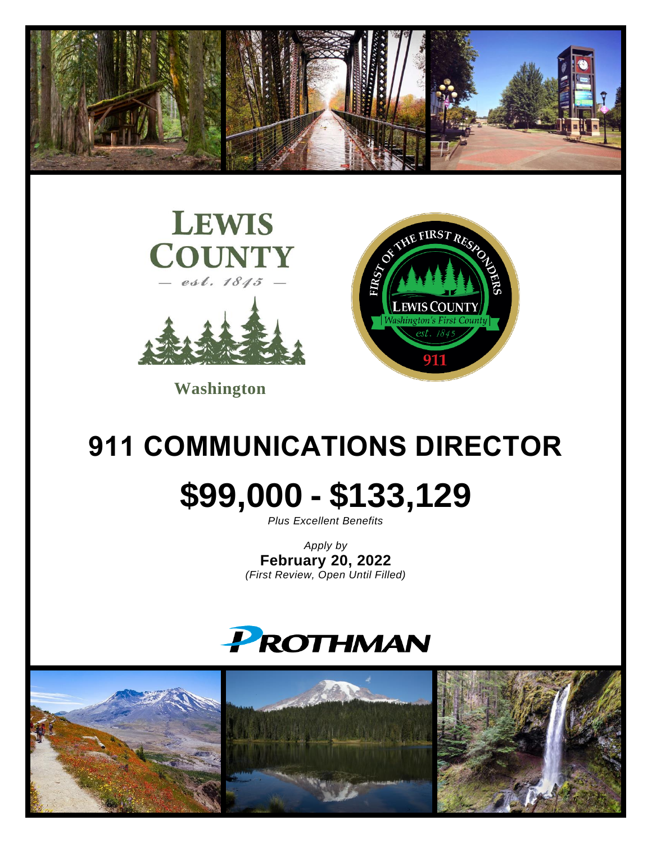



**Washington**



# **911 COMMUNICATIONS DIRECTOR**

# **\$99,000 - \$133,129**

*Plus Excellent Benefits*

*Apply by* **February 20, 2022** *(First Review, Open Until Filled)*



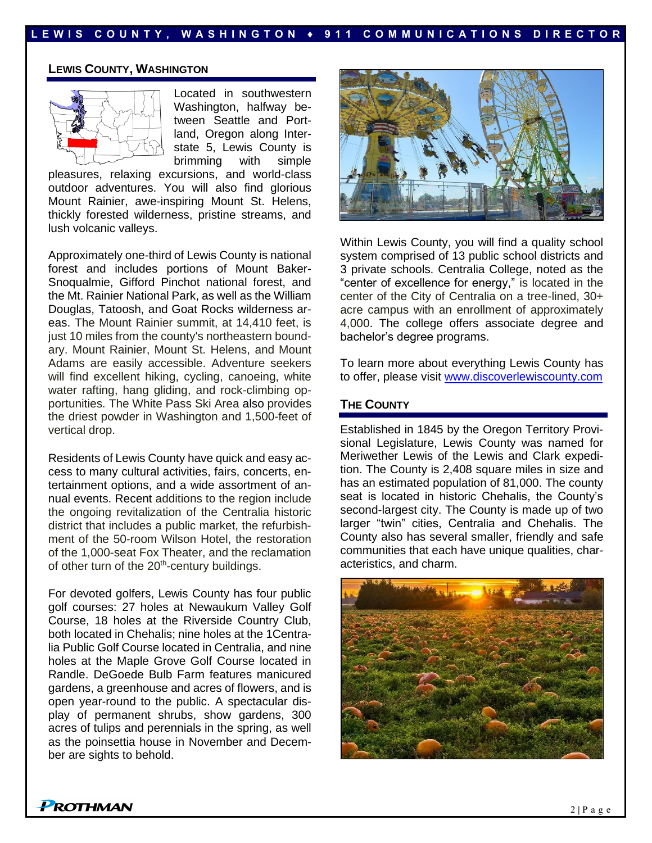#### **L E W I S C O U N T Y , W A S H I N G T O N ♦ 9 1 1 C O M M U N I C A T I O N S D I R E C T O R**

#### **LEWIS COUNTY, WASHINGTON**



Located in southwestern Washington, halfway between Seattle and Portland, Oregon along Interstate 5, Lewis County is brimming with simple

pleasures, relaxing excursions, and world-class outdoor adventures. You will also find glorious Mount Rainier, awe-inspiring Mount St. Helens, thickly forested wilderness, pristine streams, and lush volcanic valleys.

Approximately one-third of Lewis County is national forest and includes portions of Mount Baker-Snoqualmie, Gifford Pinchot national forest, and the Mt. Rainier National Park, as well as the William Douglas, Tatoosh, and Goat Rocks wilderness areas. The Mount Rainier summit, at 14,410 feet, is just 10 miles from the county's northeastern boundary. Mount Rainier, Mount St. Helens, and Mount Adams are easily accessible. Adventure seekers will find excellent hiking, cycling, canoeing, white water rafting, hang gliding, and rock-climbing opportunities. The White Pass Ski Area also provides the driest powder in Washington and 1,500-feet of vertical drop.

Residents of Lewis County have quick and easy access to many cultural activities, fairs, concerts, entertainment options, and a wide assortment of annual events. Recent additions to the region include the ongoing revitalization of the Centralia historic district that includes a public market, the refurbishment of the 50-room Wilson Hotel, the restoration of the 1,000-seat Fox Theater, and the reclamation of other turn of the 20<sup>th</sup>-century buildings.

For devoted golfers, Lewis County has four public golf courses: 27 holes at Newaukum Valley Golf Course, 18 holes at the Riverside Country Club, both located in Chehalis; nine holes at the 1Centralia Public Golf Course located in Centralia, and nine holes at the Maple Grove Golf Course located in Randle. DeGoede Bulb Farm features manicured gardens, a greenhouse and acres of flowers, and is open year-round to the public. A spectacular display of permanent shrubs, show gardens, 300 acres of tulips and perennials in the spring, as well as the poinsettia house in November and December are sights to behold.



Within Lewis County, you will find a quality school system comprised of 13 public school districts and 3 private schools. Centralia College, noted as the "center of excellence for energy," is located in the center of the City of Centralia on a tree-lined, 30+ acre campus with an enrollment of approximately 4,000. The college offers associate degree and bachelor's degree programs.

To learn more about everything Lewis County has to offer, please visit [www.discoverlewiscounty.com](http://www.discoverlewiscounty.com/)

#### **THE COUNTY**

Established in 1845 by the Oregon Territory Provisional Legislature, Lewis County was named for Meriwether Lewis of the Lewis and Clark expedition. The County is 2,408 square miles in size and has an estimated population of 81,000. The county seat is located in historic Chehalis, the County's second-largest city. The County is made up of two larger "twin" cities, Centralia and Chehalis. The County also has several smaller, friendly and safe communities that each have unique qualities, characteristics, and charm.



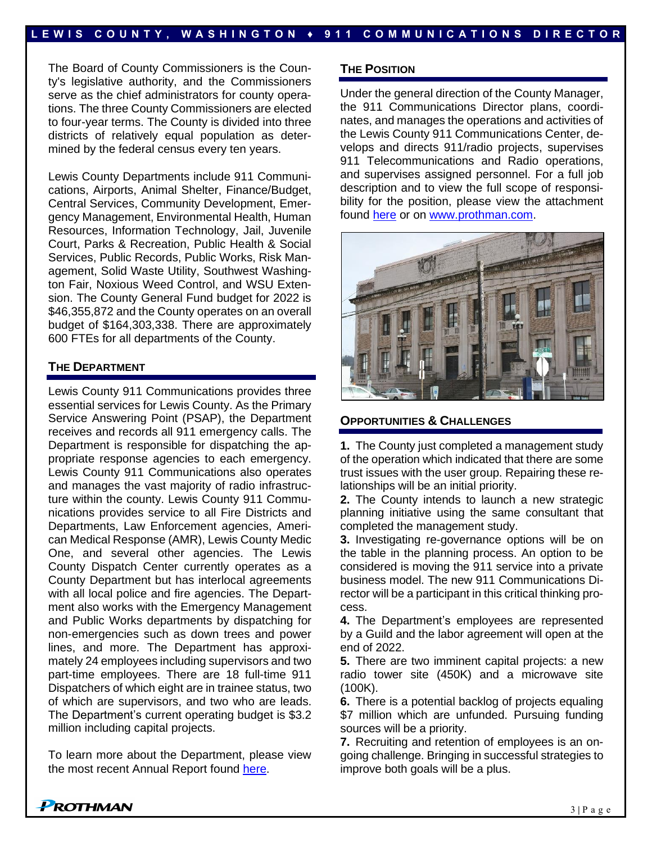The Board of County Commissioners is the County's legislative authority, and the Commissioners serve as the chief administrators for county operations. The three County Commissioners are elected to four-year terms. The County is divided into three districts of relatively equal population as determined by the federal census every ten years.

Lewis County Departments include 911 Communications, Airports, Animal Shelter, Finance/Budget, Central Services, Community Development, Emergency Management, Environmental Health, Human Resources, Information Technology, Jail, Juvenile Court, Parks & Recreation, Public Health & Social Services, Public Records, Public Works, Risk Management, Solid Waste Utility, Southwest Washington Fair, Noxious Weed Control, and WSU Extension. The County General Fund budget for 2022 is \$46,355,872 and the County operates on an overall budget of \$164,303,338. There are approximately 600 FTEs for all departments of the County.

#### **THE DEPARTMENT**

Lewis County 911 Communications provides three essential services for Lewis County. As the Primary Service Answering Point (PSAP), the Department receives and records all 911 emergency calls. The Department is responsible for dispatching the appropriate response agencies to each emergency. Lewis County 911 Communications also operates and manages the vast majority of radio infrastructure within the county. Lewis County 911 Communications provides service to all Fire Districts and Departments, Law Enforcement agencies, American Medical Response (AMR), Lewis County Medic One, and several other agencies. The Lewis County Dispatch Center currently operates as a County Department but has interlocal agreements with all local police and fire agencies. The Department also works with the Emergency Management and Public Works departments by dispatching for non-emergencies such as down trees and power lines, and more. The Department has approximately 24 employees including supervisors and two part-time employees. There are 18 full-time 911 Dispatchers of which eight are in trainee status, two of which are supervisors, and two who are leads. The Department's current operating budget is \$3.2 million including capital projects.

To learn more about the Department, please view the most recent Annual Report found [here.](https://lewiscountywa.gov/media/documents/2019_Annual_report.pdf)

#### **THE POSITION**

Under the general direction of the County Manager, the 911 Communications Director plans, coordinates, and manages the operations and activities of the Lewis County 911 Communications Center, develops and directs 911/radio projects, supervises 911 Telecommunications and Radio operations, and supervises assigned personnel. For a full job description and to view the full scope of responsibility for the position, please view the attachment found [here](https://prothman.com/JobFiles/2934/LC911%20Director%20Job%20Description.pdf) or on [www.prothman.com.](http://www.prothman.com/)



#### **OPPORTUNITIES & CHALLENGES**

**1.** The County just completed a management study of the operation which indicated that there are some trust issues with the user group. Repairing these relationships will be an initial priority.

**2.** The County intends to launch a new strategic planning initiative using the same consultant that completed the management study.

**3.** Investigating re-governance options will be on the table in the planning process. An option to be considered is moving the 911 service into a private business model. The new 911 Communications Director will be a participant in this critical thinking process.

**4.** The Department's employees are represented by a Guild and the labor agreement will open at the end of 2022.

**5.** There are two imminent capital projects: a new radio tower site (450K) and a microwave site (100K).

**6.** There is a potential backlog of projects equaling \$7 million which are unfunded. Pursuing funding sources will be a priority.

**7.** Recruiting and retention of employees is an ongoing challenge. Bringing in successful strategies to improve both goals will be a plus.